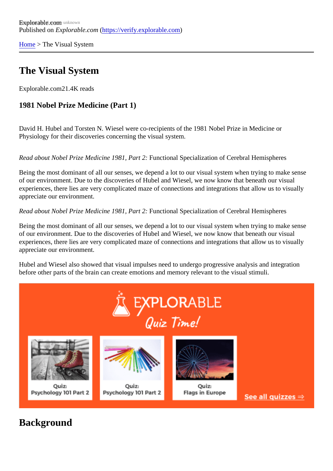[Home](https://verify.explorable.com/)> The Visual System

## The Visual System

Explorable.com21.4K reads

1981 Nobel Prize Medicine (Part 1)

David H. Hubel and Torsten N. Wiesel were co-recipients of the 1981 Nobel Prize in Medicine or Physiology for their discoveries concerning the visual system.

Read about Nobel Prize Medicine 1981, Part Anctional Specialization of Cerebral Hemispheres

Being the most dominant of all our senses, we depend a lot to our visual system when trying to make sense of our environment. Due to the discoveries of Hubel and Wiesel, we now know that beneath our visual experiences, there lies are very complicated maze of connections and integrations that allow us to visually appreciate our environment.

Read about Nobel Prize Medicine 1981, ParFanctional Specialization of Cerebral Hemispheres

Being the most dominant of all our senses, we depend a lot to our visual system when trying to make sens of our environment. Due to the discoveries of Hubel and Wiesel, we now know that beneath our visual experiences, there lies are very complicated maze of connections and integrations that allow us to visually appreciate our environment.

Hubel and Wiesel also showed that visual impulses need to undergo progressive analysis and integration before other parts of the brain can create emotions and memory relevant to the visual stimuli.

**Background**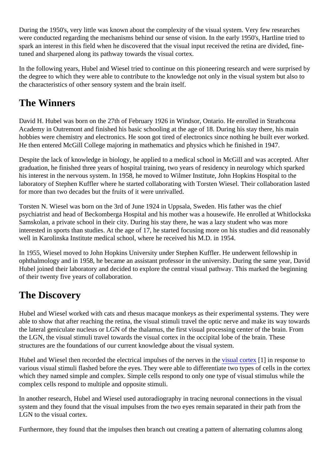During the 1950's, very little was known about the complexity of the visual system. Very few researches were conducted regarding the mechanisms behind our sense of vision. In the early 1950's, Hartline tried to spark an interest in this field when he discovered that the visual input received the retina are divided, finetuned and sharpened along its pathway towards the visual cortex.

In the following years, Hubel and Wiesel tried to continue on this pioneering research and were surprised by the degree to which they were able to contribute to the knowledge not only in the visual system but also to the characteristics of other sensory system and the brain itself.

## The Winners

David H. Hubel was born on the 27th of February 1926 in Windsor, Ontario. He enrolled in Strathcona Academy in Outremont and finished his basic schooling at the age of 18. During his stay there, his main hobbies were chemistry and electronics. He soon got tired of electronics since nothing he built ever worke He then entered McGill College majoring in mathematics and physics which he finished in 1947.

Despite the lack of knowledge in biology, he applied to a medical school in McGill and was accepted. After graduation, he finished three years of hospital training, two years of residency in neurology which sparked his interest in the nervous system. In 1958, he moved to Wilmer Institute, John Hopkins Hospital to the laboratory of Stephen Kuffler where he started collaborating with Torsten Wiesel. Their collaboration lasted for more than two decades but the fruits of it were unrivalled.

Torsten N. Wiesel was born on the 3rd of June 1924 in Uppsala, Sweden. His father was the chief psychiatrist and head of Beckomberga Hospital and his mother was a housewife. He enrolled at Whitlocks Samskolan, a private school in their city. During his stay there, he was a lazy student who was more interested in sports than studies. At the age of 17, he started focusing more on his studies and did reasona well in Karolinska Institute medical school, where he received his M.D. in 1954.

In 1955, Wiesel moved to John Hopkins University under Stephen Kuffler. He underwent fellowship in ophthalmology and in 1958, he became an assistant professor in the university. During the same year, Da Hubel joined their laboratory and decided to explore the central visual pathway. This marked the beginning of their twenty five years of collaboration.

## The Discovery

Hubel and Wiesel worked with cats and rhesus macaque monkeys as their experimental systems. They w able to show that after reaching the retina, the visual stimuli travel the optic nerve and make its way toward the lateral geniculate nucleus or LGN of the thalamus, the first visual processing center of the brain. From the LGN, the visual stimuli travel towards the visual cortex in the occipital lobe of the brain. These structures are the foundations of our current knowledge about the visual system.

Hubel and Wiesel then recorded the electrical impulses of the nerves in uthe cortex<sup>[1]</sup> in response to various visual stimuli flashed before the eyes. They were able to differentiate two types of cells in the corte which they named simple and complex. Simple cells respond to only one type of visual stimulus while the complex cells respond to multiple and opposite stimuli.

In another research, Hubel and Wiesel used autoradiography in tracing neuronal connections in the visual system and they found that the visual impulses from the two eyes remain separated in their path from the LGN to the visual cortex.

Furthermore, they found that the impulses then branch out creating a pattern of alternating columns along